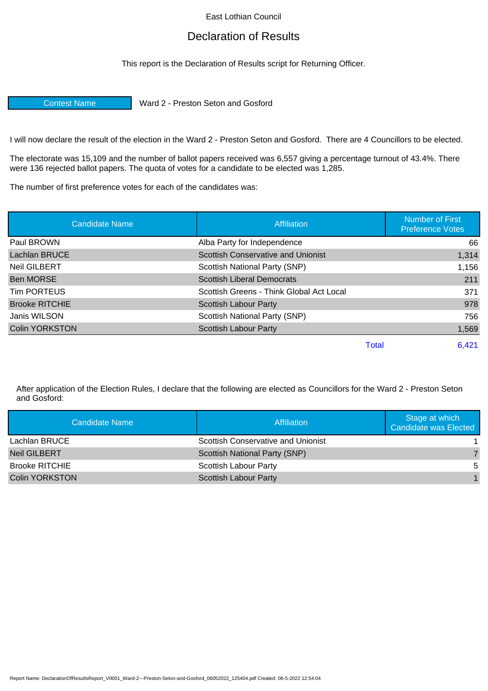East Lothian Council

## Declaration of Results

This report is the Declaration of Results script for Returning Officer.

Contest Name Ward 2 - Preston Seton and Gosford

I will now declare the result of the election in the Ward 2 - Preston Seton and Gosford. There are 4 Councillors to be elected.

The electorate was 15,109 and the number of ballot papers received was 6,557 giving a percentage turnout of 43.4%. There were 136 rejected ballot papers. The quota of votes for a candidate to be elected was 1,285.

The number of first preference votes for each of the candidates was:

| <b>Candidate Name</b> | <b>Affiliation</b>                       | <b>Number of First</b><br><b>Preference Votes</b> |
|-----------------------|------------------------------------------|---------------------------------------------------|
| Paul BROWN            | Alba Party for Independence              | 66                                                |
| Lachlan BRUCE         | Scottish Conservative and Unionist       | 1,314                                             |
| <b>Neil GILBERT</b>   | Scottish National Party (SNP)            | 1,156                                             |
| <b>Ben MORSE</b>      | <b>Scottish Liberal Democrats</b>        | 211                                               |
| Tim PORTEUS           | Scottish Greens - Think Global Act Local | 371                                               |
| <b>Brooke RITCHIE</b> | Scottish Labour Party                    | 978                                               |
| Janis WILSON          | Scottish National Party (SNP)            | 756                                               |
| <b>Colin YORKSTON</b> | <b>Scottish Labour Party</b>             | 1,569                                             |
|                       |                                          | 6,421<br><b>Total</b>                             |

After application of the Election Rules, I declare that the following are elected as Councillors for the Ward 2 - Preston Seton and Gosford:

| Candidate Name        | Affiliation                               | Stage at which<br>Candidate was Elected |
|-----------------------|-------------------------------------------|-----------------------------------------|
| Lachlan BRUCE         | <b>Scottish Conservative and Unionist</b> |                                         |
| Neil GILBERT          | Scottish National Party (SNP)             |                                         |
| <b>Brooke RITCHIE</b> | <b>Scottish Labour Party</b>              | .5                                      |
| <b>Colin YORKSTON</b> | <b>Scottish Labour Party</b>              |                                         |